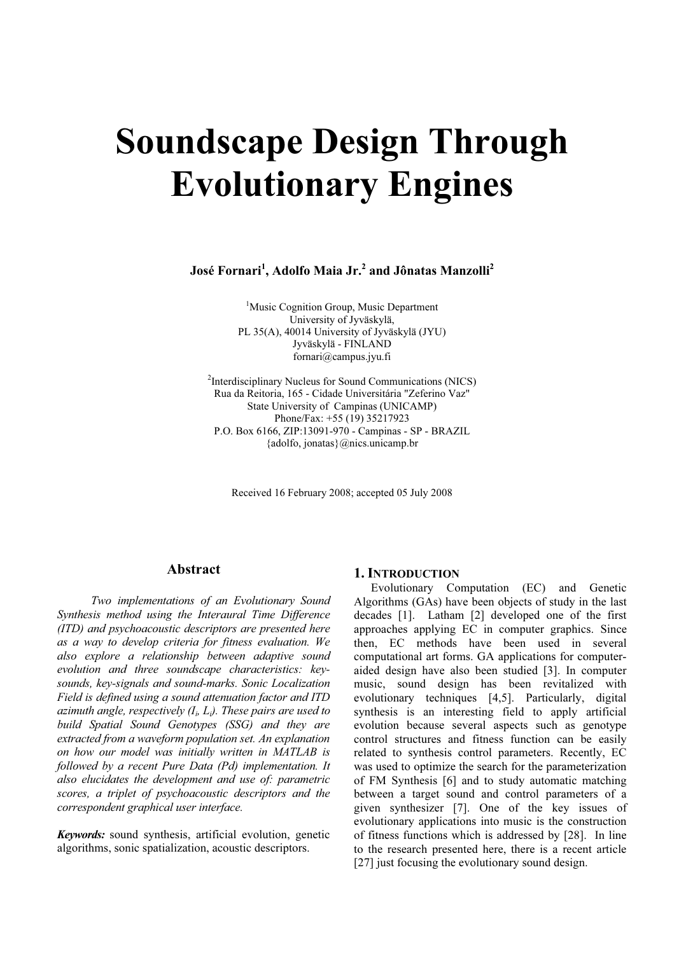# Soundscape Design Through Evolutionary Engines

José Fornari<sup>1</sup>, Adolfo Maia Jr.<sup>2</sup> and Jônatas Manzolli<sup>2</sup>

<sup>1</sup>Music Cognition Group, Music Department University of Jyväskylä, PL 35(A), 40014 University of Jyväskylä (JYU) Jyväskylä - FINLAND fornari@campus.jyu.fi

<sup>2</sup>Interdisciplinary Nucleus for Sound Communications (NICS) Rua da Reitoria, 165 - Cidade Universitária "Zeferino Vaz" State University of Campinas (UNICAMP) Phone/Fax: +55 (19) 35217923 P.O. Box 6166, ZIP:13091-970 - Campinas - SP - BRAZIL {adolfo, jonatas}@nics.unicamp.br

Received 16 February 2008; accepted 05 July 2008

# Abstract

Two implementations of an Evolutionary Sound Synthesis method using the Interaural Time Difference (ITD) and psychoacoustic descriptors are presented here as a way to develop criteria for fitness evaluation. We also explore a relationship between adaptive sound evolution and three soundscape characteristics: keysounds, key-signals and sound-marks. Sonic Localization Field is defined using a sound attenuation factor and ITD azimuth angle, respectively  $(I_i, L_i)$ . These pairs are used to build Spatial Sound Genotypes (SSG) and they are extracted from a waveform population set. An explanation on how our model was initially written in MATLAB is followed by a recent Pure Data (Pd) implementation. It also elucidates the development and use of: parametric scores, a triplet of psychoacoustic descriptors and the correspondent graphical user interface.

Keywords: sound synthesis, artificial evolution, genetic algorithms, sonic spatialization, acoustic descriptors.

# 1. INTRODUCTION

Evolutionary Computation (EC) and Genetic Algorithms (GAs) have been objects of study in the last decades [1]. Latham [2] developed one of the first approaches applying EC in computer graphics. Since then, EC methods have been used in several computational art forms. GA applications for computeraided design have also been studied [3]. In computer music, sound design has been revitalized with evolutionary techniques [4,5]. Particularly, digital synthesis is an interesting field to apply artificial evolution because several aspects such as genotype control structures and fitness function can be easily related to synthesis control parameters. Recently, EC was used to optimize the search for the parameterization of FM Synthesis [6] and to study automatic matching between a target sound and control parameters of a given synthesizer [7]. One of the key issues of evolutionary applications into music is the construction of fitness functions which is addressed by [28]. In line to the research presented here, there is a recent article [27] just focusing the evolutionary sound design.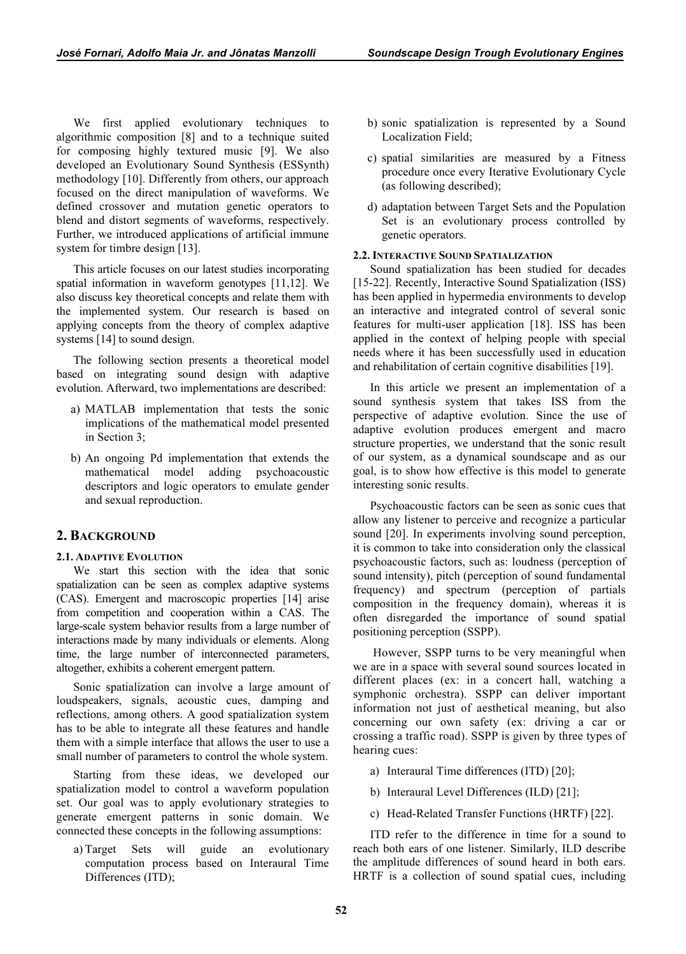We first applied evolutionary techniques to algorithmic composition [8] and to a technique suited for composing highly textured music [9]. We also developed an Evolutionary Sound Synthesis (ESSynth) methodology [10]. Differently from others, our approach focused on the direct manipulation of waveforms. We defined crossover and mutation genetic operators to blend and distort segments of waveforms, respectively. Further, we introduced applications of artificial immune system for timbre design [13].

This article focuses on our latest studies incorporating spatial information in waveform genotypes [11,12]. We also discuss key theoretical concepts and relate them with the implemented system. Our research is based on applying concepts from the theory of complex adaptive systems [14] to sound design.

The following section presents a theoretical model based on integrating sound design with adaptive evolution. Afterward, two implementations are described:

- a) MATLAB implementation that tests the sonic implications of the mathematical model presented in Section 3;
- b) An ongoing Pd implementation that extends the mathematical model adding psychoacoustic descriptors and logic operators to emulate gender and sexual reproduction.

# 2. BACKGROUND

## 2.1. ADAPTIVE EVOLUTION

We start this section with the idea that sonic spatialization can be seen as complex adaptive systems (CAS). Emergent and macroscopic properties [14] arise from competition and cooperation within a CAS. The large-scale system behavior results from a large number of interactions made by many individuals or elements. Along time, the large number of interconnected parameters, altogether, exhibits a coherent emergent pattern.

Sonic spatialization can involve a large amount of loudspeakers, signals, acoustic cues, damping and reflections, among others. A good spatialization system has to be able to integrate all these features and handle them with a simple interface that allows the user to use a small number of parameters to control the whole system.

Starting from these ideas, we developed our spatialization model to control a waveform population set. Our goal was to apply evolutionary strategies to generate emergent patterns in sonic domain. We connected these concepts in the following assumptions:

 a) Target Sets will guide an evolutionary computation process based on Interaural Time Differences (ITD);

- b) sonic spatialization is represented by a Sound Localization Field;
- c) spatial similarities are measured by a Fitness procedure once every Iterative Evolutionary Cycle (as following described);
- d) adaptation between Target Sets and the Population Set is an evolutionary process controlled by genetic operators.

## 2.2. INTERACTIVE SOUND SPATIALIZATION

Sound spatialization has been studied for decades [15-22]. Recently, Interactive Sound Spatialization (ISS) has been applied in hypermedia environments to develop an interactive and integrated control of several sonic features for multi-user application [18]. ISS has been applied in the context of helping people with special needs where it has been successfully used in education and rehabilitation of certain cognitive disabilities [19].

In this article we present an implementation of a sound synthesis system that takes ISS from the perspective of adaptive evolution. Since the use of adaptive evolution produces emergent and macro structure properties, we understand that the sonic result of our system, as a dynamical soundscape and as our goal, is to show how effective is this model to generate interesting sonic results.

Psychoacoustic factors can be seen as sonic cues that allow any listener to perceive and recognize a particular sound [20]. In experiments involving sound perception, it is common to take into consideration only the classical psychoacoustic factors, such as: loudness (perception of sound intensity), pitch (perception of sound fundamental frequency) and spectrum (perception of partials composition in the frequency domain), whereas it is often disregarded the importance of sound spatial positioning perception (SSPP).

 However, SSPP turns to be very meaningful when we are in a space with several sound sources located in different places (ex: in a concert hall, watching a symphonic orchestra). SSPP can deliver important information not just of aesthetical meaning, but also concerning our own safety (ex: driving a car or crossing a traffic road). SSPP is given by three types of hearing cues:

- a) Interaural Time differences (ITD) [20];
- b) Interaural Level Differences (ILD) [21];
- c) Head-Related Transfer Functions (HRTF) [22].

ITD refer to the difference in time for a sound to reach both ears of one listener. Similarly, ILD describe the amplitude differences of sound heard in both ears. HRTF is a collection of sound spatial cues, including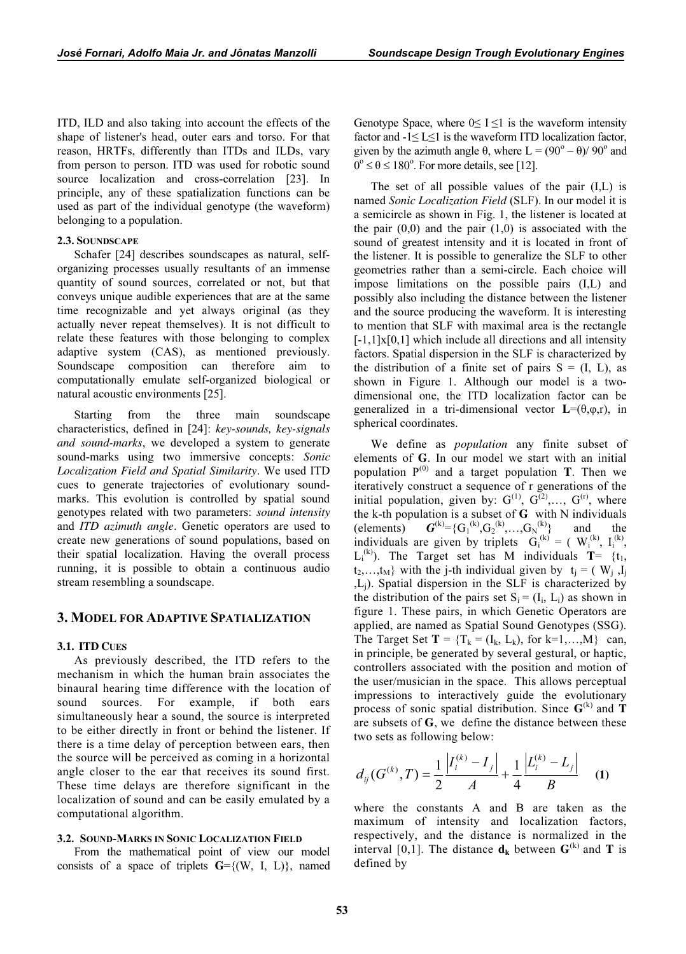ITD, ILD and also taking into account the effects of the shape of listener's head, outer ears and torso. For that reason, HRTFs, differently than ITDs and ILDs, vary from person to person. ITD was used for robotic sound source localization and cross-correlation [23]. In principle, any of these spatialization functions can be used as part of the individual genotype (the waveform) belonging to a population.

#### 2.3. SOUNDSCAPE

Schafer [24] describes soundscapes as natural, selforganizing processes usually resultants of an immense quantity of sound sources, correlated or not, but that conveys unique audible experiences that are at the same time recognizable and yet always original (as they actually never repeat themselves). It is not difficult to relate these features with those belonging to complex adaptive system (CAS), as mentioned previously. Soundscape composition can therefore aim to computationally emulate self-organized biological or natural acoustic environments [25].

Starting from the three main soundscape characteristics, defined in [24]: key-sounds, key-signals and sound-marks, we developed a system to generate sound-marks using two immersive concepts: Sonic Localization Field and Spatial Similarity. We used ITD cues to generate trajectories of evolutionary soundmarks. This evolution is controlled by spatial sound genotypes related with two parameters: sound intensity and ITD azimuth angle. Genetic operators are used to create new generations of sound populations, based on their spatial localization. Having the overall process running, it is possible to obtain a continuous audio stream resembling a soundscape.

# 3. MODEL FOR ADAPTIVE SPATIALIZATION

# 3.1. ITD CUES

As previously described, the ITD refers to the mechanism in which the human brain associates the binaural hearing time difference with the location of sound sources. For example, if both ears simultaneously hear a sound, the source is interpreted to be either directly in front or behind the listener. If there is a time delay of perception between ears, then the source will be perceived as coming in a horizontal angle closer to the ear that receives its sound first. These time delays are therefore significant in the localization of sound and can be easily emulated by a computational algorithm.

#### 3.2. SOUND-MARKS IN SONIC LOCALIZATION FIELD

From the mathematical point of view our model consists of a space of triplets  $G = \{(W, I, L)\}\)$ , named Genotype Space, where  $0 \le I \le 1$  is the waveform intensity factor and  $-1 \le L \le 1$  is the waveform ITD localization factor, given by the azimuth angle  $\theta$ , where  $L = (90^{\circ} - \theta)/90^{\circ}$  and  $0^{\circ} \le \theta \le 180^{\circ}$ . For more details, see [12].

The set of all possible values of the pair (I,L) is named Sonic Localization Field (SLF). In our model it is a semicircle as shown in Fig. 1, the listener is located at the pair  $(0,0)$  and the pair  $(1,0)$  is associated with the sound of greatest intensity and it is located in front of the listener. It is possible to generalize the SLF to other geometries rather than a semi-circle. Each choice will impose limitations on the possible pairs (I,L) and possibly also including the distance between the listener and the source producing the waveform. It is interesting to mention that SLF with maximal area is the rectangle  $[-1,1] \times [0,1]$  which include all directions and all intensity factors. Spatial dispersion in the SLF is characterized by the distribution of a finite set of pairs  $S = (I, L)$ , as shown in Figure 1. Although our model is a twodimensional one, the ITD localization factor can be generalized in a tri-dimensional vector  $L=(\theta,\varphi,r)$ , in spherical coordinates.

We define as *population* any finite subset of elements of G. In our model we start with an initial population  $P^{(0)}$  and a target population **T**. Then we iteratively construct a sequence of r generations of the initial population, given by:  $G^{(1)}$ ,  $G^{(2)}$ ,...,  $G^{(r)}$ , where the k-th population is a subset of  $G$  with N individuals (elements)  ${}^{(k)}=\{G_1^{(k)},G_2^{(k)},\ldots,G_N\}$ and the individuals are given by triplets  $G_i^{(k)} = (W_i^{(k)}, I_i^{(k)},$  $L_i^{(k)}$ ). The Target set has M individuals **T**= {t<sub>1</sub>,  $t_2,...,t_M$ } with the j-th individual given by  $t_i = (W_i, I_i)$ ,Lj). Spatial dispersion in the SLF is characterized by the distribution of the pairs set  $S_i = (I_i, L_i)$  as shown in figure 1. These pairs, in which Genetic Operators are applied, are named as Spatial Sound Genotypes (SSG). The Target Set  $T = \{T_k = (I_k, L_k)\}$ , for  $k=1,...,M\}$  can, in principle, be generated by several gestural, or haptic, controllers associated with the position and motion of the user/musician in the space. This allows perceptual impressions to interactively guide the evolutionary process of sonic spatial distribution. Since  $G^{(k)}$  and T are subsets of  $G$ , we define the distance between these two sets as following below:

$$
d_{ij}(G^{(k)},T) = \frac{1}{2} \frac{|I_i^{(k)} - I_j|}{A} + \frac{1}{4} \frac{|L_i^{(k)} - L_j|}{B}
$$
 (1)

where the constants A and B are taken as the maximum of intensity and localization factors, respectively, and the distance is normalized in the interval [0,1]. The distance  $\mathbf{d}_{k}$  between  $\mathbf{G}^{(k)}$  and **T** is defined by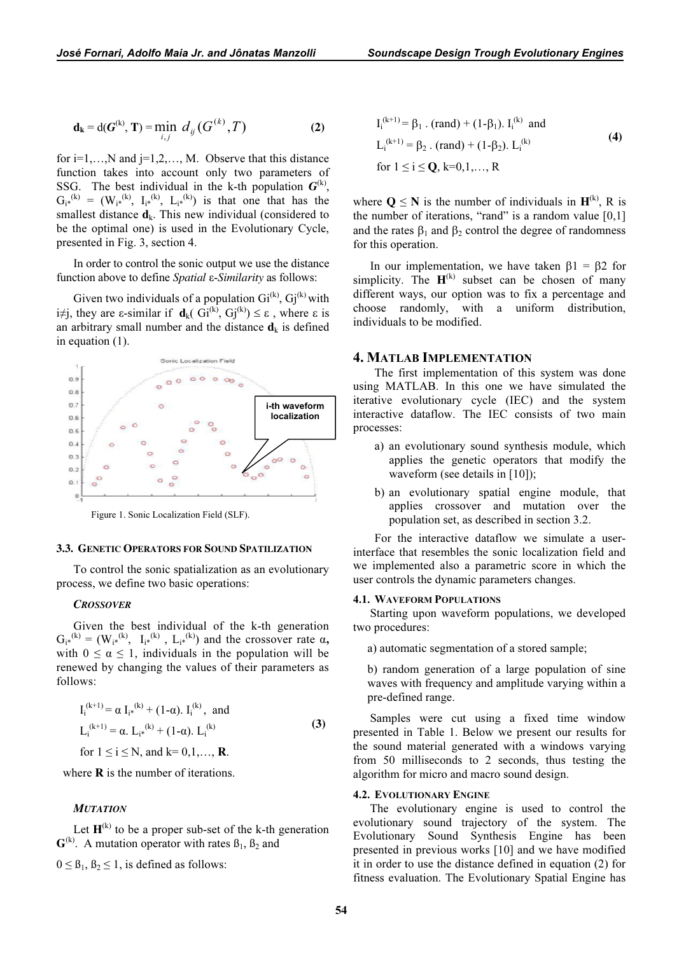$$
\mathbf{d}_{k} = d(G^{(k)}, T) = \min_{i,j} d_{ij}(G^{(k)}, T)
$$
 (2)

for  $i=1,...,N$  and  $j=1,2,...,M$ . Observe that this distance function takes into account only two parameters of SSG. The best individual in the k-th population  $G^{(k)}$ ,  $G_{i*}^{(k)} = (W_{i*}^{(k)}, I_{i*}^{(k)}, L_{i*}^{(k)})$  is that one that has the smallest distance  $\mathbf{d}_k$ . This new individual (considered to be the optimal one) is used in the Evolutionary Cycle, presented in Fig. 3, section 4.

In order to control the sonic output we use the distance function above to define *Spatial* ε-*Similarity* as follows:

Given two individuals of a population  $Gi^{(k)}$ ,  $Gi^{(k)}$  with i≠j, they are  $\varepsilon$ -similar if  $\mathbf{d}_k$ (  $\overrightarrow{GI}^{(k)}$ ,  $\overrightarrow{Gj}^{(k)}$ )  $\leq \varepsilon$ , where  $\varepsilon$  is an arbitrary small number and the distance  $\mathbf{d}_k$  is defined in equation (1).



Figure 1. Sonic Localization Field (SLF).

# 3.3. GENETIC OPERATORS FOR SOUND SPATILIZATION

To control the sonic spatialization as an evolutionary process, we define two basic operations:

# **CROSSOVER**

Given the best individual of the k-th generation  $G_{i*}^{(k)} = (W_{i*}^{(k)}, I_{i*}^{(k)}, L_{i*}^{(k)})$  and the crossover rate  $\alpha$ , with  $0 \le \alpha \le 1$ , individuals in the population will be renewed by changing the values of their parameters as follows:

$$
I_i^{(k+1)} = \alpha I_{i*}^{(k)} + (1-\alpha). I_i^{(k)}, \text{ and}
$$
  
\n
$$
L_i^{(k+1)} = \alpha. L_{i*}^{(k)} + (1-\alpha). L_i^{(k)}
$$
  
\nfor  $1 \le i \le N$ , and  $k = 0,1,..., R$ . (3)

where  $\bf{R}$  is the number of iterations.

# **MUTATION**

Let  $H^{(k)}$  to be a proper sub-set of the k-th generation  $\mathbf{G}^{(k)}$ . A mutation operator with rates  $\beta_1$ ,  $\beta_2$  and

 $0 \leq \beta_1, \beta_2 \leq 1$ , is defined as follows:

$$
I_i^{(k+1)} = \beta_1 \cdot (rand) + (1-\beta_1) \cdot I_i^{(k)} \text{ and}
$$
  
\n
$$
L_i^{(k+1)} = \beta_2 \cdot (rand) + (1-\beta_2) \cdot L_i^{(k)}
$$
  
\nfor  $1 \le i \le Q$ ,  $k=0,1,..., R$  (4)

where  $Q \le N$  is the number of individuals in  $H^{(k)}$ , R is the number of iterations, "rand" is a random value  $[0,1]$ and the rates  $\beta_1$  and  $\beta_2$  control the degree of randomness for this operation.

In our implementation, we have taken  $β1 = β2$  for simplicity. The  $H^{(k)}$  subset can be chosen of many different ways, our option was to fix a percentage and choose randomly, with a uniform distribution, individuals to be modified.

# 4. MATLAB IMPLEMENTATION

The first implementation of this system was done using MATLAB. In this one we have simulated the iterative evolutionary cycle (IEC) and the system interactive dataflow. The IEC consists of two main processes:

- a) an evolutionary sound synthesis module, which applies the genetic operators that modify the waveform (see details in [10]);
- b) an evolutionary spatial engine module, that applies crossover and mutation over the population set, as described in section 3.2.

For the interactive dataflow we simulate a userinterface that resembles the sonic localization field and we implemented also a parametric score in which the user controls the dynamic parameters changes.

#### 4.1. WAVEFORM POPULATIONS

Starting upon waveform populations, we developed two procedures:

a) automatic segmentation of a stored sample;

b) random generation of a large population of sine waves with frequency and amplitude varying within a pre-defined range.

Samples were cut using a fixed time window presented in Table 1. Below we present our results for the sound material generated with a windows varying from 50 milliseconds to 2 seconds, thus testing the algorithm for micro and macro sound design.

## 4.2. EVOLUTIONARY ENGINE

The evolutionary engine is used to control the evolutionary sound trajectory of the system. The Evolutionary Sound Synthesis Engine has been presented in previous works [10] and we have modified it in order to use the distance defined in equation (2) for fitness evaluation. The Evolutionary Spatial Engine has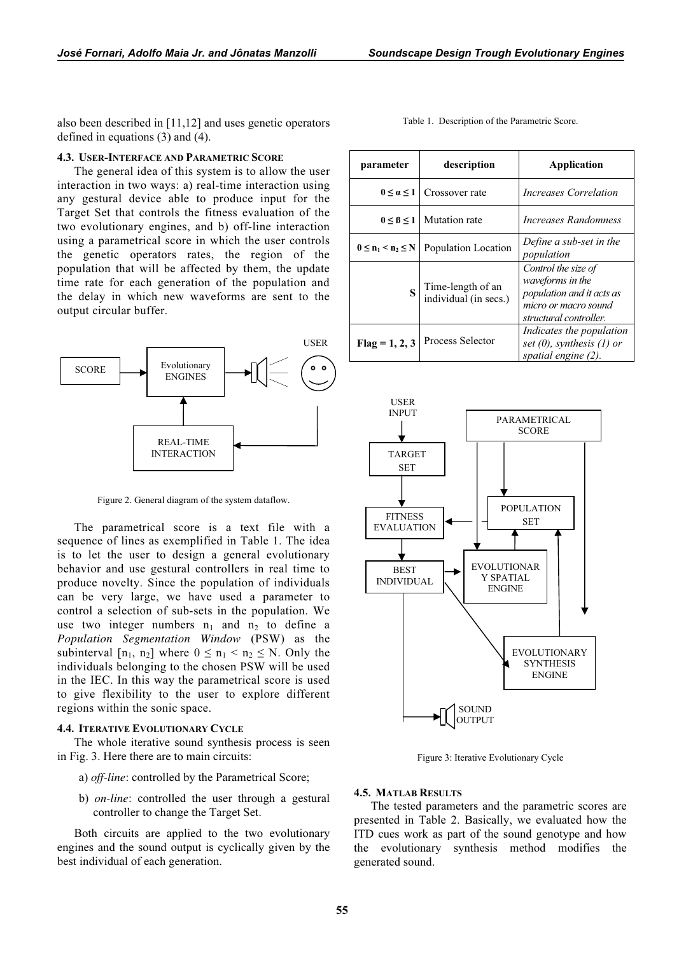also been described in [11,12] and uses genetic operators defined in equations (3) and (4).

#### 4.3. USER-INTERFACE AND PARAMETRIC SCORE

The general idea of this system is to allow the user interaction in two ways: a) real-time interaction using any gestural device able to produce input for the Target Set that controls the fitness evaluation of the two evolutionary engines, and b) off-line interaction using a parametrical score in which the user controls the genetic operators rates, the region of the population that will be affected by them, the update time rate for each generation of the population and the delay in which new waveforms are sent to the output circular buffer.



Figure 2. General diagram of the system dataflow.

The parametrical score is a text file with a sequence of lines as exemplified in Table 1. The idea is to let the user to design a general evolutionary behavior and use gestural controllers in real time to produce novelty. Since the population of individuals can be very large, we have used a parameter to control a selection of sub-sets in the population. We use two integer numbers  $n_1$  and  $n_2$  to define a Population Segmentation Window (PSW) as the subinterval  $[n_1, n_2]$  where  $0 \le n_1 < n_2 \le N$ . Only the individuals belonging to the chosen PSW will be used in the IEC. In this way the parametrical score is used to give flexibility to the user to explore different regions within the sonic space.

## 4.4. ITERATIVE EVOLUTIONARY CYCLE

The whole iterative sound synthesis process is seen in Fig. 3. Here there are to main circuits:

- a) off-line: controlled by the Parametrical Score;
- b) on-line: controlled the user through a gestural controller to change the Target Set.

Both circuits are applied to the two evolutionary engines and the sound output is cyclically given by the best individual of each generation.

| parameter                 | description                                | Application                                                                                                            |
|---------------------------|--------------------------------------------|------------------------------------------------------------------------------------------------------------------------|
| $0 \leq \alpha \leq 1$    | Crossover rate                             | <i>Increases Correlation</i>                                                                                           |
| $0 \leq \beta \leq 1$     | Mutation rate                              | Increases Randomness                                                                                                   |
| $0 \le n_1 \le n_2 \le N$ | Population Location                        | Define a sub-set in the<br>population                                                                                  |
| S                         | Time-length of an<br>individual (in secs.) | Control the size of<br>waveforms in the<br>population and it acts as<br>micro or macro sound<br>structural controller. |
| $Flag = 1, 2, 3$          | Process Selector                           | Indicates the population<br>set $(0)$ , synthesis $(1)$ or<br>spatial engine (2).                                      |



Figure 3: Iterative Evolutionary Cycle

## 4.5. MATLAB RESULTS

The tested parameters and the parametric scores are presented in Table 2. Basically, we evaluated how the ITD cues work as part of the sound genotype and how the evolutionary synthesis method modifies the generated sound.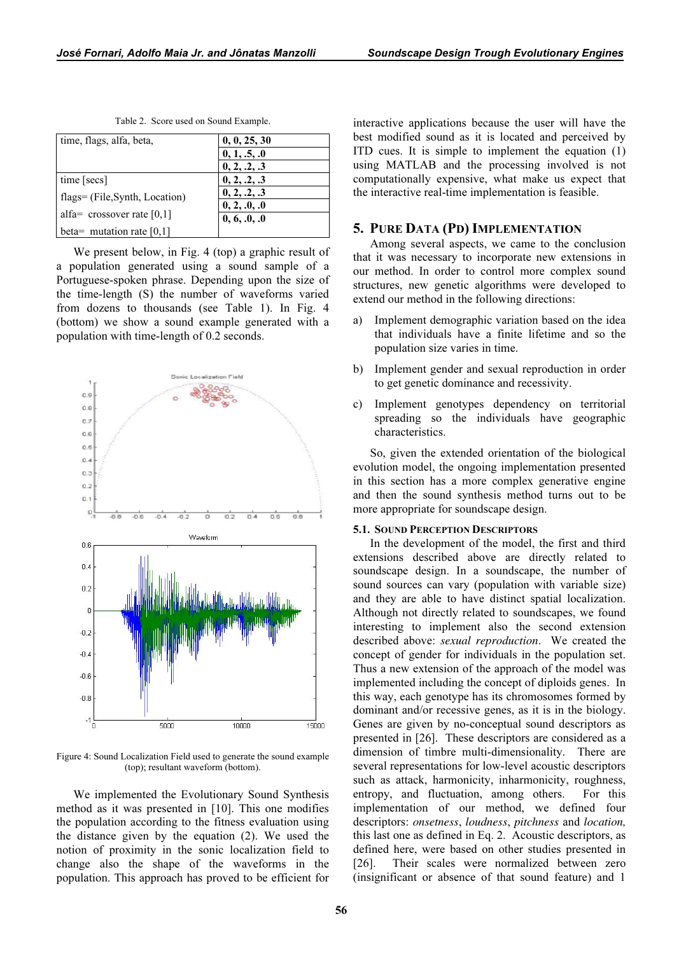| time, flags, alfa, beta,       | 0, 0, 25, 30                 |
|--------------------------------|------------------------------|
|                                | 0, 1, .5, .0                 |
|                                | 0, 2, .2, .3                 |
| time [secs]                    | 0, 2, .2, .3                 |
| flags= (File, Synth, Location) | 0, 2, .2, .3                 |
| alfa= crossover rate $[0,1]$   | 0, 2, .0, .0<br>0, 6, .0, .0 |
| beta= mutation rate $[0,1]$    |                              |

Table 2. Score used on Sound Example.

We present below, in Fig. 4 (top) a graphic result of a population generated using a sound sample of a Portuguese-spoken phrase. Depending upon the size of the time-length (S) the number of waveforms varied from dozens to thousands (see Table 1). In Fig. 4 (bottom) we show a sound example generated with a population with time-length of 0.2 seconds.



Figure 4: Sound Localization Field used to generate the sound example (top); resultant waveform (bottom).

We implemented the Evolutionary Sound Synthesis method as it was presented in [10]. This one modifies the population according to the fitness evaluation using the distance given by the equation (2). We used the notion of proximity in the sonic localization field to change also the shape of the waveforms in the population. This approach has proved to be efficient for interactive applications because the user will have the best modified sound as it is located and perceived by ITD cues. It is simple to implement the equation (1) using MATLAB and the processing involved is not computationally expensive, what make us expect that the interactive real-time implementation is feasible.

## 5. PURE DATA (PD) IMPLEMENTATION

Among several aspects, we came to the conclusion that it was necessary to incorporate new extensions in our method. In order to control more complex sound structures, new genetic algorithms were developed to extend our method in the following directions:

- Implement demographic variation based on the idea that individuals have a finite lifetime and so the population size varies in time.
- b) Implement gender and sexual reproduction in order to get genetic dominance and recessivity.
- c) Implement genotypes dependency on territorial spreading so the individuals have geographic characteristics.

So, given the extended orientation of the biological evolution model, the ongoing implementation presented in this section has a more complex generative engine and then the sound synthesis method turns out to be more appropriate for soundscape design.

#### 5.1. SOUND PERCEPTION DESCRIPTORS

In the development of the model, the first and third extensions described above are directly related to soundscape design. In a soundscape, the number of sound sources can vary (population with variable size) and they are able to have distinct spatial localization. Although not directly related to soundscapes, we found interesting to implement also the second extension described above: sexual reproduction. We created the concept of gender for individuals in the population set. Thus a new extension of the approach of the model was implemented including the concept of diploids genes. In this way, each genotype has its chromosomes formed by dominant and/or recessive genes, as it is in the biology. Genes are given by no-conceptual sound descriptors as presented in [26]. These descriptors are considered as a dimension of timbre multi-dimensionality. There are several representations for low-level acoustic descriptors such as attack, harmonicity, inharmonicity, roughness, entropy, and fluctuation, among others. For this implementation of our method, we defined four descriptors: onsetness, loudness, pitchness and location, this last one as defined in Eq. 2. Acoustic descriptors, as defined here, were based on other studies presented in [26]. Their scales were normalized between zero (insignificant or absence of that sound feature) and 1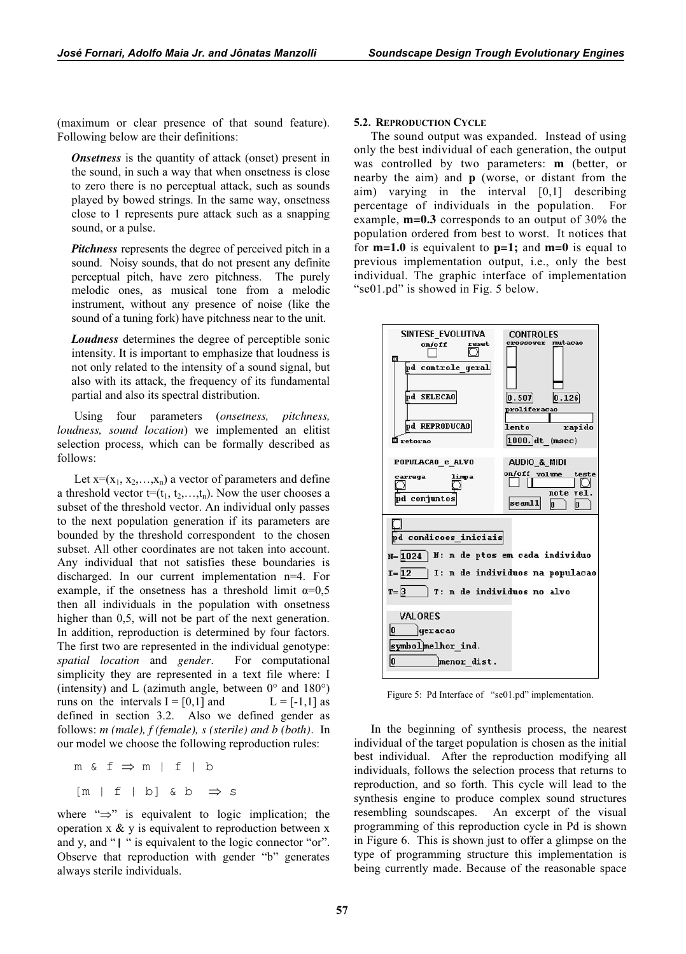(maximum or clear presence of that sound feature). Following below are their definitions:

Onsetness is the quantity of attack (onset) present in the sound, in such a way that when onsetness is close to zero there is no perceptual attack, such as sounds played by bowed strings. In the same way, onsetness close to 1 represents pure attack such as a snapping sound, or a pulse.

Pitchness represents the degree of perceived pitch in a sound. Noisy sounds, that do not present any definite perceptual pitch, have zero pitchness. The purely melodic ones, as musical tone from a melodic instrument, without any presence of noise (like the sound of a tuning fork) have pitchness near to the unit.

**Loudness** determines the degree of perceptible sonic intensity. It is important to emphasize that loudness is not only related to the intensity of a sound signal, but also with its attack, the frequency of its fundamental partial and also its spectral distribution.

Using four parameters (*onsetness*, *pitchness*, loudness, sound location) we implemented an elitist selection process, which can be formally described as follows:

Let  $x=(x_1, x_2,...,x_n)$  a vector of parameters and define a threshold vector  $t=(t_1, t_2,...,t_n)$ . Now the user chooses a subset of the threshold vector. An individual only passes to the next population generation if its parameters are bounded by the threshold correspondent to the chosen subset. All other coordinates are not taken into account. Any individual that not satisfies these boundaries is discharged. In our current implementation n=4. For example, if the onsetness has a threshold limit  $\alpha=0.5$ then all individuals in the population with onsetness higher than 0,5, will not be part of the next generation. In addition, reproduction is determined by four factors. The first two are represented in the individual genotype: spatial location and gender. . For computational simplicity they are represented in a text file where: I (intensity) and L (azimuth angle, between  $0^{\circ}$  and  $180^{\circ}$ ) runs on the intervals  $I = [0,1]$  and  $L = [-1,1]$  as defined in section 3.2. Also we defined gender as follows:  $m$  (male),  $f$  (female),  $s$  (sterile) and  $b$  (both). In our model we choose the following reproduction rules:

m &  $f \Rightarrow m$  | f | b  $[m | f | b] \& b \Rightarrow s$ 

where "⇒" is equivalent to logic implication; the operation  $x \& y$  is equivalent to reproduction between  $x$ and y, and "| " is equivalent to the logic connector "or". Observe that reproduction with gender "b" generates always sterile individuals.

### 5.2. REPRODUCTION CYCLE

The sound output was expanded. Instead of using only the best individual of each generation, the output was controlled by two parameters:  $\mathbf{m}$  (better, or nearby the aim) and  $\bf{p}$  (worse, or distant from the aim) varying in the interval [0,1] describing percentage of individuals in the population. For example,  $m=0.3$  corresponds to an output of 30% the population ordered from best to worst. It notices that for  $m=1.0$  is equivalent to  $p=1$ ; and  $m=0$  is equal to previous implementation output, i.e., only the best individual. The graphic interface of implementation "se01.pd" is showed in Fig. 5 below.



Figure 5: Pd Interface of "se01.pd" implementation.

In the beginning of synthesis process, the nearest individual of the target population is chosen as the initial best individual. After the reproduction modifying all individuals, follows the selection process that returns to reproduction, and so forth. This cycle will lead to the synthesis engine to produce complex sound structures resembling soundscapes. An excerpt of the visual programming of this reproduction cycle in Pd is shown in Figure 6. This is shown just to offer a glimpse on the type of programming structure this implementation is being currently made. Because of the reasonable space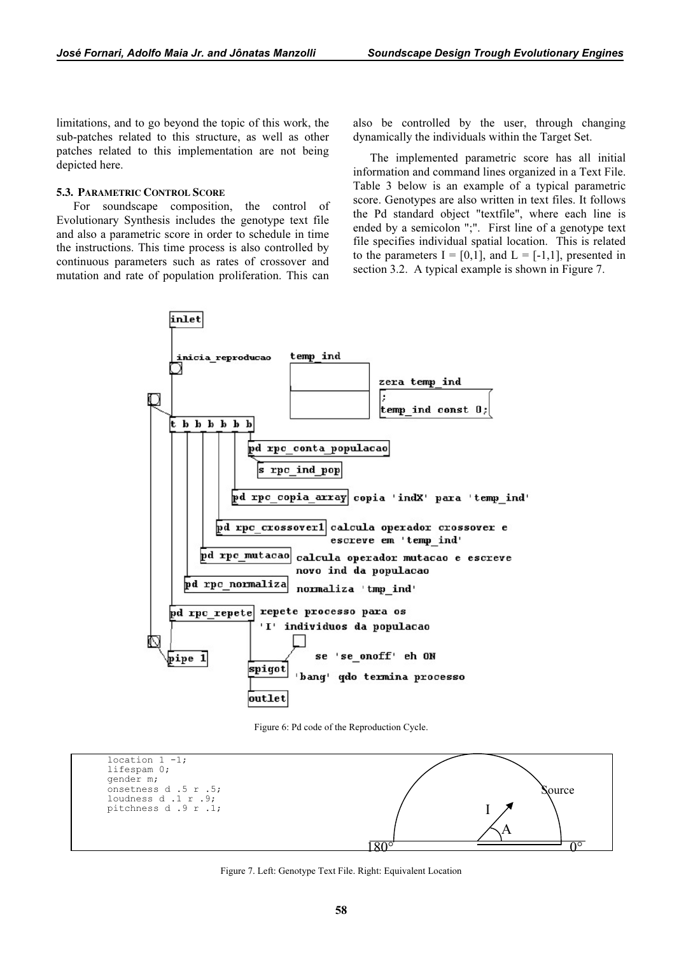limitations, and to go beyond the topic of this work, the sub-patches related to this structure, as well as other patches related to this implementation are not being depicted here.

# 5.3. PARAMETRIC CONTROL SCORE

For soundscape composition, the control of Evolutionary Synthesis includes the genotype text file and also a parametric score in order to schedule in time the instructions. This time process is also controlled by continuous parameters such as rates of crossover and mutation and rate of population proliferation. This can

also be controlled by the user, through changing dynamically the individuals within the Target Set.

The implemented parametric score has all initial information and command lines organized in a Text File. Table 3 below is an example of a typical parametric score. Genotypes are also written in text files. It follows the Pd standard object "textfile", where each line is ended by a semicolon ";". First line of a genotype text file specifies individual spatial location. This is related to the parameters  $I = [0,1]$ , and  $L = [-1,1]$ , presented in section 3.2. A typical example is shown in Figure 7.



Figure 6: Pd code of the Reproduction Cycle.



Figure 7. Left: Genotype Text File. Right: Equivalent Location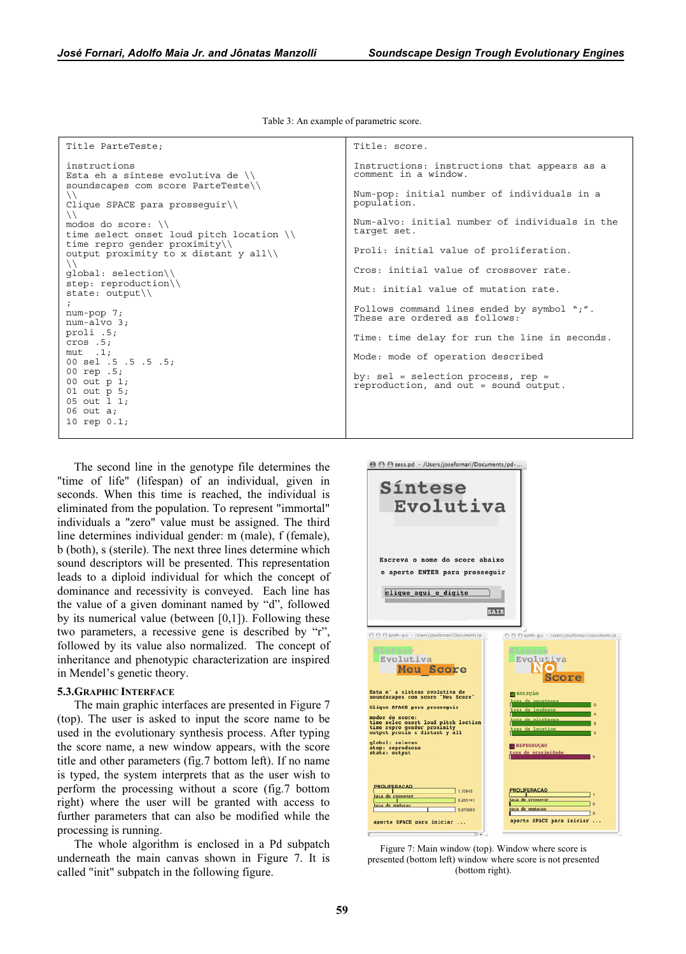Table 3: An example of parametric score.

```
Title ParteTeste; 
instructions
```

```
Esta eh a sintese evolutiva de \\ 
soundscapes com score ParteTeste\\ 
\setminusClique SPACE para prosseguir\\ 
\setminusmodos do score: \\ 
time select onset loud pitch location \\ 
time repro gender proximity\\ 
output proximity to x distant y all\\ 
\setminusglobal: selection\\ 
step: reproduction\\ 
state: output\setminus; 
num-pop 7; 
num-alvo 3; 
proli .5; 
cros .5; 
mut .1; 
00 sel .5 .5 .5 .5; 
00 rep .5; 
00 out p 1; 
01 out p 5; 
05 out l 1; 
06 out a; 
10 rep 0.1;
```
The second line in the genotype file determines the "time of life" (lifespan) of an individual, given in seconds. When this time is reached, the individual is eliminated from the population. To represent "immortal" individuals a "zero" value must be assigned. The third line determines individual gender: m (male), f (female), b (both), s (sterile). The next three lines determine which sound descriptors will be presented. This representation leads to a diploid individual for which the concept of dominance and recessivity is conveyed. Each line has the value of a given dominant named by "d", followed by its numerical value (between [0,1]). Following these two parameters, a recessive gene is described by "r", followed by its value also normalized. The concept of inheritance and phenotypic characterization are inspired in Mendel's genetic theory.

#### 5.3.GRAPHIC INTERFACE

The main graphic interfaces are presented in Figure 7 (top). The user is asked to input the score name to be used in the evolutionary synthesis process. After typing the score name, a new window appears, with the score title and other parameters (fig.7 bottom left). If no name is typed, the system interprets that as the user wish to perform the processing without a score (fig.7 bottom right) where the user will be granted with access to further parameters that can also be modified while the processing is running.

The whole algorithm is enclosed in a Pd subpatch underneath the main canvas shown in Figure 7. It is called "init" subpatch in the following figure.

```
Title: score. 
Instructions: instructions that appears as a 
comment in a window. 
         initial number of individuals in a
Num-pop: ir<br>population.
Num-alvo: initial number of individuals in the 
target set. 
Proli: initial value of proliferation. 
Cros: initial value of crossover rate. 
Mut: initial value of mutation rate. 
Follows command lines ended by symbol ";". 
These are ordered as follows: 
Time: time delay for run the line in seconds. 
Mode: mode of operation described 
by: sel = selection process, rep = 
reproduction, and out = sound output.
```


Figure 7: Main window (top). Window where score is presented (bottom left) window where score is not presented (bottom right).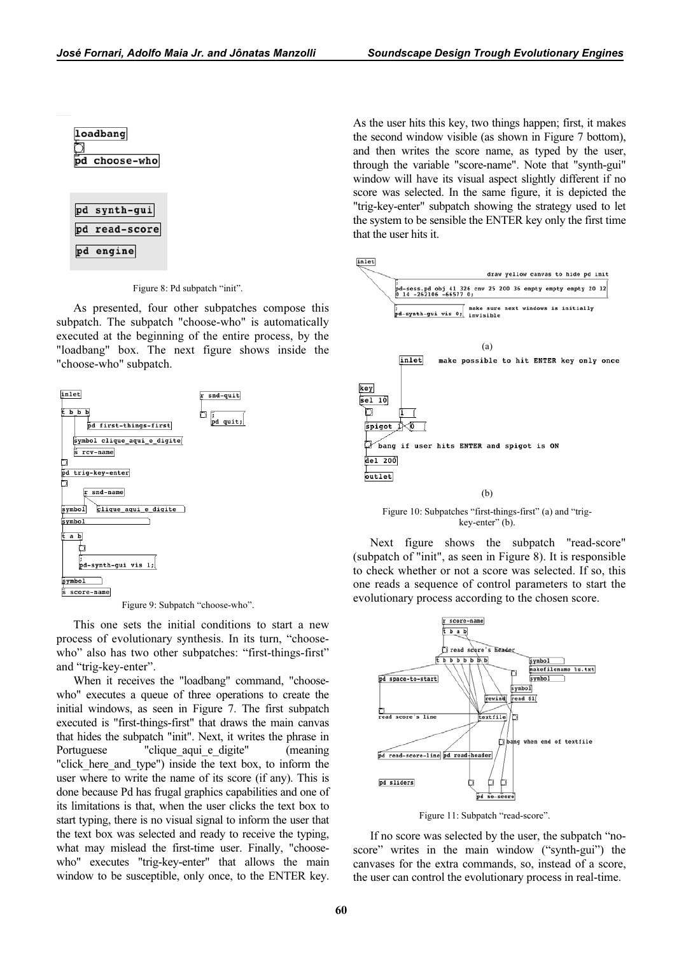| oadban |
|--------|
|        |
| choose |

| pd synth-gui  |
|---------------|
| pd read-score |
| pd engine     |

Figure 8: Pd subpatch "init".

As presented, four other subpatches compose this subpatch. The subpatch "choose-who" is automatically executed at the beginning of the entire process, by the "loadbang" box. The next figure shows inside the "choose-who" subpatch.



Figure 9: Subpatch "choose-who".

This one sets the initial conditions to start a new process of evolutionary synthesis. In its turn, "choosewho" also has two other subpatches: "first-things-first" and "trig-key-enter".

When it receives the "loadbang" command, "choosewho" executes a queue of three operations to create the initial windows, as seen in Figure 7. The first subpatch executed is "first-things-first" that draws the main canvas that hides the subpatch "init". Next, it writes the phrase in Portuguese "clique\_aqui\_e\_digite" (meaning "click here and type") inside the text box, to inform the user where to write the name of its score (if any). This is done because Pd has frugal graphics capabilities and one of its limitations is that, when the user clicks the text box to start typing, there is no visual signal to inform the user that the text box was selected and ready to receive the typing, what may mislead the first-time user. Finally, "choosewho" executes "trig-key-enter" that allows the main window to be susceptible, only once, to the ENTER key. As the user hits this key, two things happen; first, it makes the second window visible (as shown in Figure 7 bottom), and then writes the score name, as typed by the user, through the variable "score-name". Note that "synth-gui" window will have its visual aspect slightly different if no score was selected. In the same figure, it is depicted the "trig-key-enter" subpatch showing the strategy used to let the system to be sensible the ENTER key only the first time that the user hits it.



Figure 10: Subpatches "first-things-first" (a) and "trigkey-enter" (b).

Next figure shows the subpatch "read-score" (subpatch of "init", as seen in Figure 8). It is responsible to check whether or not a score was selected. If so, this one reads a sequence of control parameters to start the evolutionary process according to the chosen score.



Figure 11: Subpatch "read-score".

If no score was selected by the user, the subpatch "noscore" writes in the main window ("synth-gui") the canvases for the extra commands, so, instead of a score, the user can control the evolutionary process in real-time.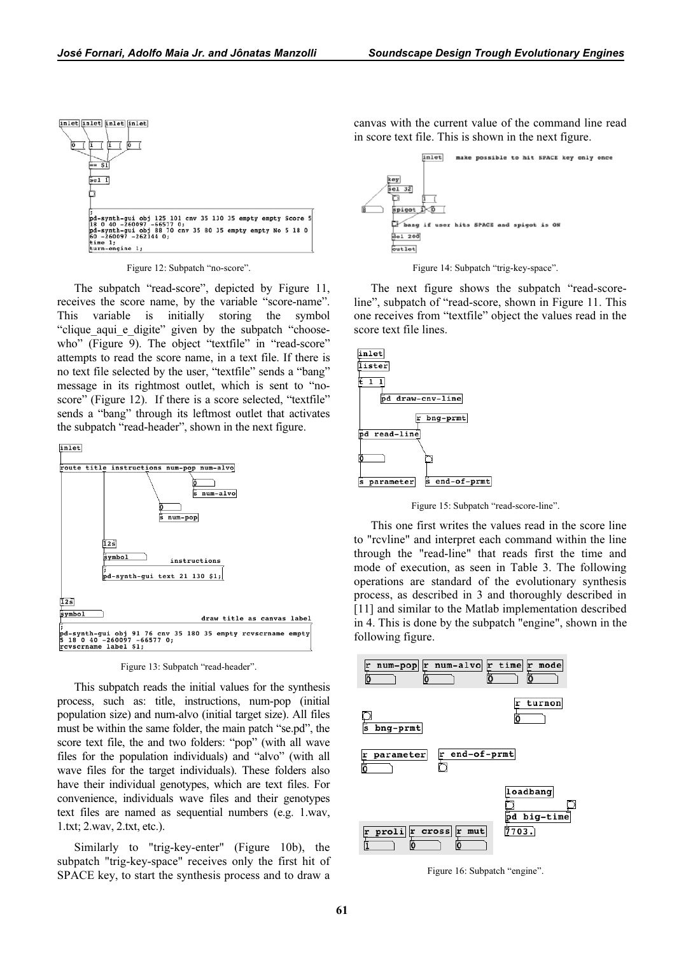

Figure 12: Subpatch "no-score".

The subpatch "read-score", depicted by Figure 11, receives the score name, by the variable "score-name". This variable is initially storing the symbol "clique\_aqui\_e\_digite" given by the subpatch "choosewho" (Figure 9). The object "textfile" in "read-score" attempts to read the score name, in a text file. If there is no text file selected by the user, "textfile" sends a "bang" message in its rightmost outlet, which is sent to "noscore" (Figure 12). If there is a score selected, "textfile" sends a "bang" through its leftmost outlet that activates the subpatch "read-header", shown in the next figure.



Figure 13: Subpatch "read-header".

This subpatch reads the initial values for the synthesis process, such as: title, instructions, num-pop (initial population size) and num-alvo (initial target size). All files must be within the same folder, the main patch "se.pd", the score text file, the and two folders: "pop" (with all wave files for the population individuals) and "alvo" (with all wave files for the target individuals). These folders also have their individual genotypes, which are text files. For convenience, individuals wave files and their genotypes text files are named as sequential numbers (e.g. 1.wav, 1.txt; 2.wav, 2.txt, etc.).

Similarly to "trig-key-enter" (Figure 10b), the subpatch "trig-key-space" receives only the first hit of SPACE key, to start the synthesis process and to draw a

canvas with the current value of the command line read in score text file. This is shown in the next figure.



Figure 14: Subpatch "trig-key-space".

The next figure shows the subpatch "read-scoreline", subpatch of "read-score, shown in Figure 11. This one receives from "textfile" object the values read in the score text file lines.



Figure 15: Subpatch "read-score-line".

This one first writes the values read in the score line to "rcvline" and interpret each command within the line through the "read-line" that reads first the time and mode of execution, as seen in Table 3. The following operations are standard of the evolutionary synthesis process, as described in 3 and thoroughly described in [11] and similar to the Matlab implementation described in 4. This is done by the subpatch "engine", shown in the following figure.



Figure 16: Subpatch "engine".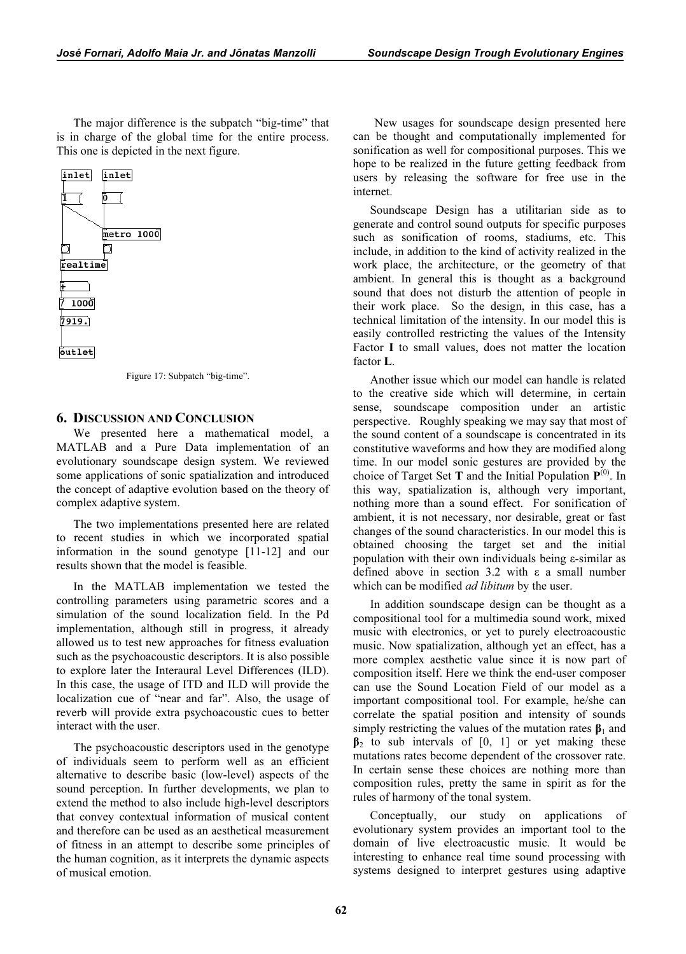The major difference is the subpatch "big-time" that is in charge of the global time for the entire process. This one is depicted in the next figure.



Figure 17: Subpatch "big-time".

# 6. DISCUSSION AND CONCLUSION

We presented here a mathematical model, a MATLAB and a Pure Data implementation of an evolutionary soundscape design system. We reviewed some applications of sonic spatialization and introduced the concept of adaptive evolution based on the theory of complex adaptive system.

The two implementations presented here are related to recent studies in which we incorporated spatial information in the sound genotype [11-12] and our results shown that the model is feasible.

In the MATLAB implementation we tested the controlling parameters using parametric scores and a simulation of the sound localization field. In the Pd implementation, although still in progress, it already allowed us to test new approaches for fitness evaluation such as the psychoacoustic descriptors. It is also possible to explore later the Interaural Level Differences (ILD). In this case, the usage of ITD and ILD will provide the localization cue of "near and far". Also, the usage of reverb will provide extra psychoacoustic cues to better interact with the user.

The psychoacoustic descriptors used in the genotype of individuals seem to perform well as an efficient alternative to describe basic (low-level) aspects of the sound perception. In further developments, we plan to extend the method to also include high-level descriptors that convey contextual information of musical content and therefore can be used as an aesthetical measurement of fitness in an attempt to describe some principles of the human cognition, as it interprets the dynamic aspects of musical emotion.

New usages for soundscape design presented here can be thought and computationally implemented for sonification as well for compositional purposes. This we hope to be realized in the future getting feedback from users by releasing the software for free use in the internet.

Soundscape Design has a utilitarian side as to generate and control sound outputs for specific purposes such as sonification of rooms, stadiums, etc. This include, in addition to the kind of activity realized in the work place, the architecture, or the geometry of that ambient. In general this is thought as a background sound that does not disturb the attention of people in their work place. So the design, in this case, has a technical limitation of the intensity. In our model this is easily controlled restricting the values of the Intensity Factor I to small values, does not matter the location factor L.

Another issue which our model can handle is related to the creative side which will determine, in certain sense, soundscape composition under an artistic perspective. Roughly speaking we may say that most of the sound content of a soundscape is concentrated in its constitutive waveforms and how they are modified along time. In our model sonic gestures are provided by the choice of Target Set T and the Initial Population  $P^{(0)}$ . In this way, spatialization is, although very important, nothing more than a sound effect. For sonification of ambient, it is not necessary, nor desirable, great or fast changes of the sound characteristics. In our model this is obtained choosing the target set and the initial population with their own individuals being ε-similar as defined above in section 3.2 with ε a small number which can be modified *ad libitum* by the user.

In addition soundscape design can be thought as a compositional tool for a multimedia sound work, mixed music with electronics, or yet to purely electroacoustic music. Now spatialization, although yet an effect, has a more complex aesthetic value since it is now part of composition itself. Here we think the end-user composer can use the Sound Location Field of our model as a important compositional tool. For example, he/she can correlate the spatial position and intensity of sounds simply restricting the values of the mutation rates  $\beta_1$  and  $\beta_2$  to sub intervals of [0, 1] or yet making these mutations rates become dependent of the crossover rate. In certain sense these choices are nothing more than composition rules, pretty the same in spirit as for the rules of harmony of the tonal system.

Conceptually, our study on applications of evolutionary system provides an important tool to the domain of live electroacustic music. It would be interesting to enhance real time sound processing with systems designed to interpret gestures using adaptive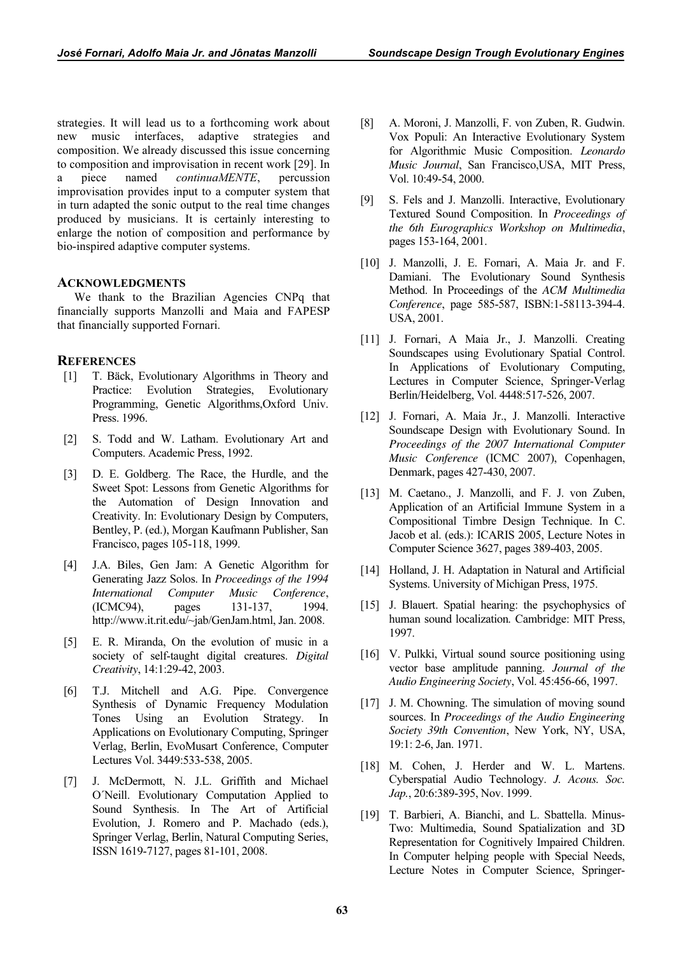strategies. It will lead us to a forthcoming work about new music interfaces, adaptive strategies and composition. We already discussed this issue concerning to composition and improvisation in recent work [29]. In a piece named continuaMENTE, percussion improvisation provides input to a computer system that in turn adapted the sonic output to the real time changes produced by musicians. It is certainly interesting to enlarge the notion of composition and performance by bio-inspired adaptive computer systems.

## ACKNOWLEDGMENTS

We thank to the Brazilian Agencies CNPq that financially supports Manzolli and Maia and FAPESP that financially supported Fornari.

## **REFERENCES**

- [1] T. Bäck, Evolutionary Algorithms in Theory and Practice: Evolution Strategies, Evolutionary Programming, Genetic Algorithms,Oxford Univ. Press. 1996.
- [2] S. Todd and W. Latham. Evolutionary Art and Computers. Academic Press, 1992.
- [3] D. E. Goldberg. The Race, the Hurdle, and the Sweet Spot: Lessons from Genetic Algorithms for the Automation of Design Innovation and Creativity. In: Evolutionary Design by Computers, Bentley, P. (ed.), Morgan Kaufmann Publisher, San Francisco, pages 105-118, 1999.
- [4] J.A. Biles, Gen Jam: A Genetic Algorithm for Generating Jazz Solos. In Proceedings of the 1994 International Computer Music Conference, (ICMC94), pages 131-137, 1994. http://www.it.rit.edu/~jab/GenJam.html, Jan. 2008.
- [5] E. R. Miranda, On the evolution of music in a society of self-taught digital creatures. Digital Creativity, 14:1:29-42, 2003.
- [6] T.J. Mitchell and A.G. Pipe. Convergence Synthesis of Dynamic Frequency Modulation Tones Using an Evolution Strategy. In Applications on Evolutionary Computing, Springer Verlag, Berlin, EvoMusart Conference, Computer Lectures Vol. 3449:533-538, 2005.
- [7] J. McDermott, N. J.L. Griffith and Michael O´Neill. Evolutionary Computation Applied to Sound Synthesis. In The Art of Artificial Evolution, J. Romero and P. Machado (eds.), Springer Verlag, Berlin, Natural Computing Series, ISSN 1619-7127, pages 81-101, 2008.
- [8] A. Moroni, J. Manzolli, F. von Zuben, R. Gudwin. Vox Populi: An Interactive Evolutionary System for Algorithmic Music Composition. Leonardo Music Journal, San Francisco, USA, MIT Press, Vol. 10:49-54, 2000.
- [9] S. Fels and J. Manzolli. Interactive, Evolutionary Textured Sound Composition. In Proceedings of the 6th Eurographics Workshop on Multimedia, pages 153-164, 2001.
- [10] J. Manzolli, J. E. Fornari, A. Maia Jr. and F. Damiani. The Evolutionary Sound Synthesis Method. In Proceedings of the ACM Multimedia Conference, page 585-587, ISBN:1-58113-394-4. USA, 2001.
- [11] J. Fornari, A Maia Jr., J. Manzolli. Creating Soundscapes using Evolutionary Spatial Control. In Applications of Evolutionary Computing, Lectures in Computer Science, Springer-Verlag Berlin/Heidelberg, Vol. 4448:517-526, 2007.
- [12] J. Fornari, A. Maia Jr., J. Manzolli. Interactive Soundscape Design with Evolutionary Sound. In Proceedings of the 2007 International Computer Music Conference (ICMC 2007), Copenhagen, Denmark, pages 427-430, 2007.
- [13] M. Caetano., J. Manzolli, and F. J. von Zuben, Application of an Artificial Immune System in a Compositional Timbre Design Technique. In C. Jacob et al. (eds.): ICARIS 2005, Lecture Notes in Computer Science 3627, pages 389-403, 2005.
- [14] Holland, J. H. Adaptation in Natural and Artificial Systems. University of Michigan Press, 1975.
- [15] J. Blauert. Spatial hearing: the psychophysics of human sound localization. Cambridge: MIT Press, 1997.
- [16] V. Pulkki, Virtual sound source positioning using vector base amplitude panning. Journal of the Audio Engineering Society, Vol. 45:456-66, 1997.
- [17] J. M. Chowning. The simulation of moving sound sources. In Proceedings of the Audio Engineering Society 39th Convention, New York, NY, USA, 19:1: 2-6, Jan. 1971.
- [18] M. Cohen, J. Herder and W. L. Martens. Cyberspatial Audio Technology. J. Acous. Soc. Jap., 20:6:389-395, Nov. 1999.
- [19] T. Barbieri, A. Bianchi, and L. Sbattella. Minus-Two: Multimedia, Sound Spatialization and 3D Representation for Cognitively Impaired Children. In Computer helping people with Special Needs, Lecture Notes in Computer Science, Springer-